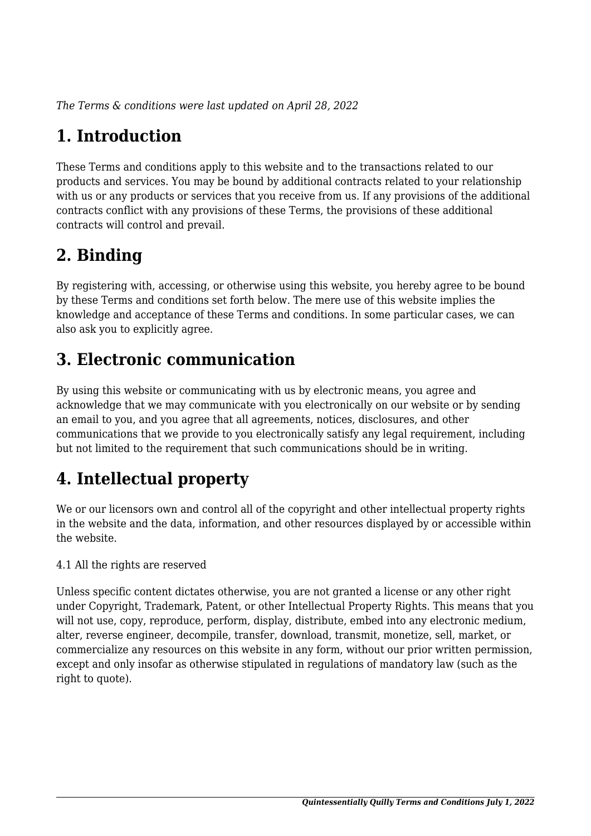*The Terms & conditions were last updated on April 28, 2022*

# **1. Introduction**

These Terms and conditions apply to this website and to the transactions related to our products and services. You may be bound by additional contracts related to your relationship with us or any products or services that you receive from us. If any provisions of the additional contracts conflict with any provisions of these Terms, the provisions of these additional contracts will control and prevail.

# **2. Binding**

By registering with, accessing, or otherwise using this website, you hereby agree to be bound by these Terms and conditions set forth below. The mere use of this website implies the knowledge and acceptance of these Terms and conditions. In some particular cases, we can also ask you to explicitly agree.

# **3. Electronic communication**

By using this website or communicating with us by electronic means, you agree and acknowledge that we may communicate with you electronically on our website or by sending an email to you, and you agree that all agreements, notices, disclosures, and other communications that we provide to you electronically satisfy any legal requirement, including but not limited to the requirement that such communications should be in writing.

# **4. Intellectual property**

We or our licensors own and control all of the copyright and other intellectual property rights in the website and the data, information, and other resources displayed by or accessible within the website.

4.1 All the rights are reserved

Unless specific content dictates otherwise, you are not granted a license or any other right under Copyright, Trademark, Patent, or other Intellectual Property Rights. This means that you will not use, copy, reproduce, perform, display, distribute, embed into any electronic medium, alter, reverse engineer, decompile, transfer, download, transmit, monetize, sell, market, or commercialize any resources on this website in any form, without our prior written permission, except and only insofar as otherwise stipulated in regulations of mandatory law (such as the right to quote).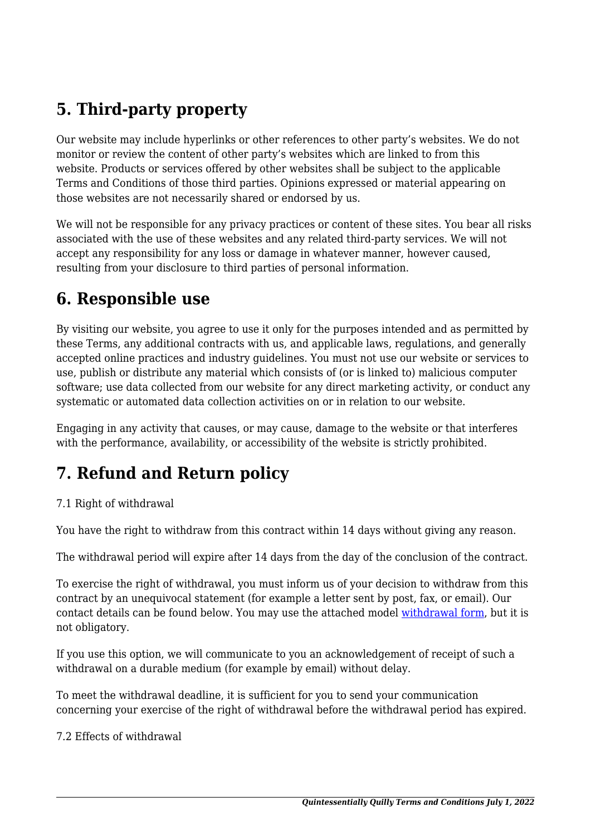# **5. Third-party property**

Our website may include hyperlinks or other references to other party's websites. We do not monitor or review the content of other party's websites which are linked to from this website. Products or services offered by other websites shall be subject to the applicable Terms and Conditions of those third parties. Opinions expressed or material appearing on those websites are not necessarily shared or endorsed by us.

We will not be responsible for any privacy practices or content of these sites. You bear all risks associated with the use of these websites and any related third-party services. We will not accept any responsibility for any loss or damage in whatever manner, however caused, resulting from your disclosure to third parties of personal information.

#### **6. Responsible use**

By visiting our website, you agree to use it only for the purposes intended and as permitted by these Terms, any additional contracts with us, and applicable laws, regulations, and generally accepted online practices and industry guidelines. You must not use our website or services to use, publish or distribute any material which consists of (or is linked to) malicious computer software; use data collected from our website for any direct marketing activity, or conduct any systematic or automated data collection activities on or in relation to our website.

Engaging in any activity that causes, or may cause, damage to the website or that interferes with the performance, availability, or accessibility of the website is strictly prohibited.

## **7. Refund and Return policy**

#### 7.1 Right of withdrawal

You have the right to withdraw from this contract within 14 days without giving any reason.

The withdrawal period will expire after 14 days from the day of the conclusion of the contract.

To exercise the right of withdrawal, you must inform us of your decision to withdraw from this contract by an unequivocal statement (for example a letter sent by post, fax, or email). Our contact details can be found below. You may use the attached model [withdrawal form](https://www.quilldancer.com/wp-content/uploads/complianz/withdrawal-forms/withdrawal-form-en.pdf), but it is not obligatory.

If you use this option, we will communicate to you an acknowledgement of receipt of such a withdrawal on a durable medium (for example by email) without delay.

To meet the withdrawal deadline, it is sufficient for you to send your communication concerning your exercise of the right of withdrawal before the withdrawal period has expired.

7.2 Effects of withdrawal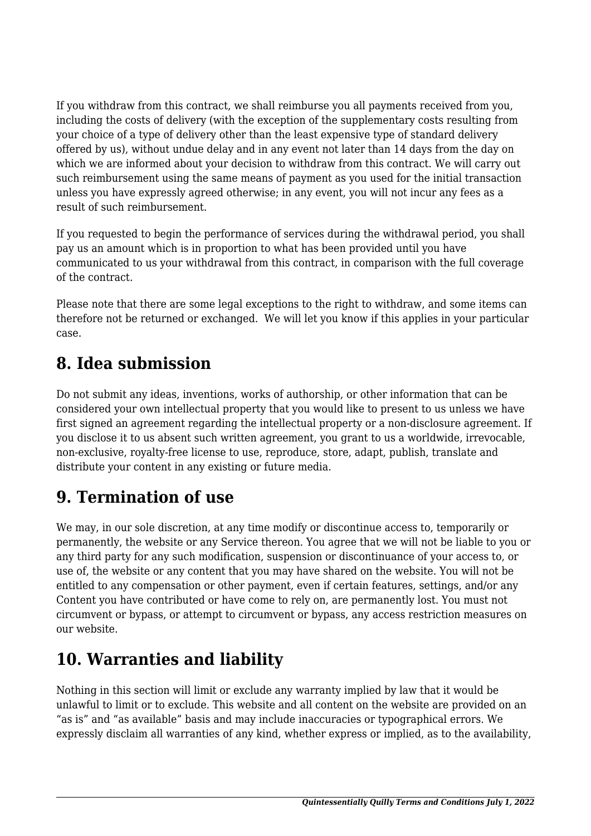If you withdraw from this contract, we shall reimburse you all payments received from you, including the costs of delivery (with the exception of the supplementary costs resulting from your choice of a type of delivery other than the least expensive type of standard delivery offered by us), without undue delay and in any event not later than 14 days from the day on which we are informed about your decision to withdraw from this contract. We will carry out such reimbursement using the same means of payment as you used for the initial transaction unless you have expressly agreed otherwise; in any event, you will not incur any fees as a result of such reimbursement.

If you requested to begin the performance of services during the withdrawal period, you shall pay us an amount which is in proportion to what has been provided until you have communicated to us your withdrawal from this contract, in comparison with the full coverage of the contract.

Please note that there are some legal exceptions to the right to withdraw, and some items can therefore not be returned or exchanged. We will let you know if this applies in your particular case.

## **8. Idea submission**

Do not submit any ideas, inventions, works of authorship, or other information that can be considered your own intellectual property that you would like to present to us unless we have first signed an agreement regarding the intellectual property or a non-disclosure agreement. If you disclose it to us absent such written agreement, you grant to us a worldwide, irrevocable, non-exclusive, royalty-free license to use, reproduce, store, adapt, publish, translate and distribute your content in any existing or future media.

## **9. Termination of use**

We may, in our sole discretion, at any time modify or discontinue access to, temporarily or permanently, the website or any Service thereon. You agree that we will not be liable to you or any third party for any such modification, suspension or discontinuance of your access to, or use of, the website or any content that you may have shared on the website. You will not be entitled to any compensation or other payment, even if certain features, settings, and/or any Content you have contributed or have come to rely on, are permanently lost. You must not circumvent or bypass, or attempt to circumvent or bypass, any access restriction measures on our website.

# **10. Warranties and liability**

Nothing in this section will limit or exclude any warranty implied by law that it would be unlawful to limit or to exclude. This website and all content on the website are provided on an "as is" and "as available" basis and may include inaccuracies or typographical errors. We expressly disclaim all warranties of any kind, whether express or implied, as to the availability,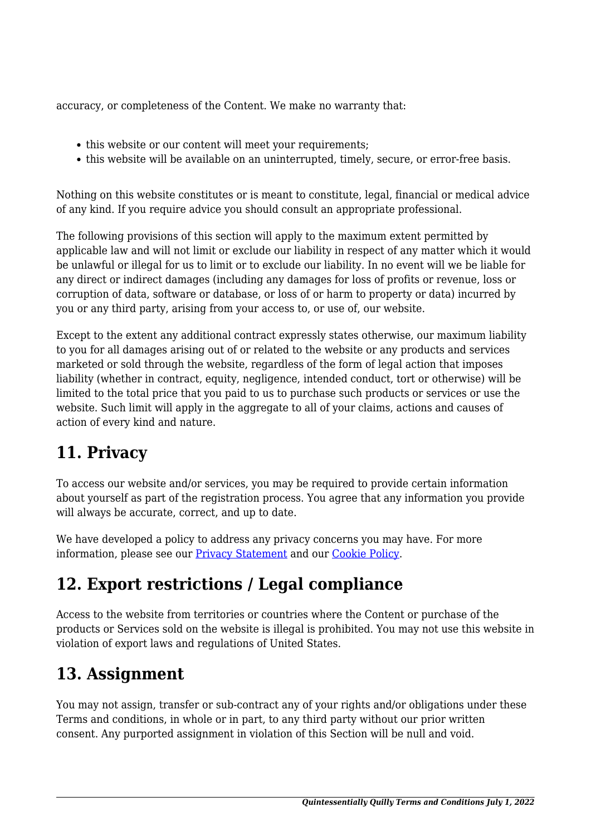accuracy, or completeness of the Content. We make no warranty that:

- this website or our content will meet your requirements:
- this website will be available on an uninterrupted, timely, secure, or error-free basis.

Nothing on this website constitutes or is meant to constitute, legal, financial or medical advice of any kind. If you require advice you should consult an appropriate professional.

The following provisions of this section will apply to the maximum extent permitted by applicable law and will not limit or exclude our liability in respect of any matter which it would be unlawful or illegal for us to limit or to exclude our liability. In no event will we be liable for any direct or indirect damages (including any damages for loss of profits or revenue, loss or corruption of data, software or database, or loss of or harm to property or data) incurred by you or any third party, arising from your access to, or use of, our website.

Except to the extent any additional contract expressly states otherwise, our maximum liability to you for all damages arising out of or related to the website or any products and services marketed or sold through the website, regardless of the form of legal action that imposes liability (whether in contract, equity, negligence, intended conduct, tort or otherwise) will be limited to the total price that you paid to us to purchase such products or services or use the website. Such limit will apply in the aggregate to all of your claims, actions and causes of action of every kind and nature.

## **11. Privacy**

To access our website and/or services, you may be required to provide certain information about yourself as part of the registration process. You agree that any information you provide will always be accurate, correct, and up to date.

We have developed a policy to address any privacy concerns you may have. For more information, please see our [Privacy Statement](https://www.quilldancer.com/privacy-statement) and our [Cookie Policy](https://www.quilldancer.com/cookie-policy-us/).

## **12. Export restrictions / Legal compliance**

Access to the website from territories or countries where the Content or purchase of the products or Services sold on the website is illegal is prohibited. You may not use this website in violation of export laws and regulations of United States.

## **13. Assignment**

You may not assign, transfer or sub-contract any of your rights and/or obligations under these Terms and conditions, in whole or in part, to any third party without our prior written consent. Any purported assignment in violation of this Section will be null and void.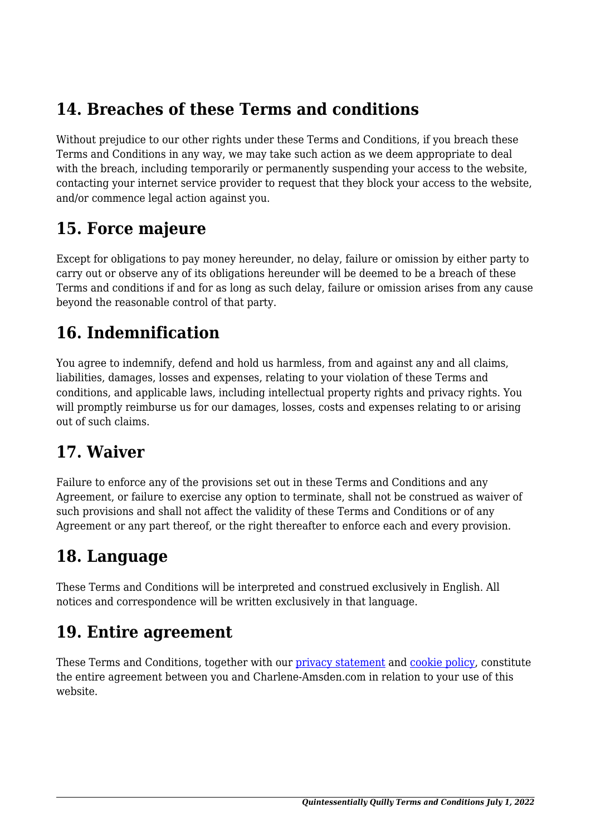## **14. Breaches of these Terms and conditions**

Without prejudice to our other rights under these Terms and Conditions, if you breach these Terms and Conditions in any way, we may take such action as we deem appropriate to deal with the breach, including temporarily or permanently suspending your access to the website, contacting your internet service provider to request that they block your access to the website, and/or commence legal action against you.

#### **15. Force majeure**

Except for obligations to pay money hereunder, no delay, failure or omission by either party to carry out or observe any of its obligations hereunder will be deemed to be a breach of these Terms and conditions if and for as long as such delay, failure or omission arises from any cause beyond the reasonable control of that party.

#### **16. Indemnification**

You agree to indemnify, defend and hold us harmless, from and against any and all claims, liabilities, damages, losses and expenses, relating to your violation of these Terms and conditions, and applicable laws, including intellectual property rights and privacy rights. You will promptly reimburse us for our damages, losses, costs and expenses relating to or arising out of such claims.

#### **17. Waiver**

Failure to enforce any of the provisions set out in these Terms and Conditions and any Agreement, or failure to exercise any option to terminate, shall not be construed as waiver of such provisions and shall not affect the validity of these Terms and Conditions or of any Agreement or any part thereof, or the right thereafter to enforce each and every provision.

## **18. Language**

These Terms and Conditions will be interpreted and construed exclusively in English. All notices and correspondence will be written exclusively in that language.

#### **19. Entire agreement**

These Terms and Conditions, together with our [privacy statement](https://www.quilldancer.com/privacy-statement) and [cookie policy,](https://www.quilldancer.com/cookie-policy-us/) constitute the entire agreement between you and Charlene-Amsden.com in relation to your use of this website.